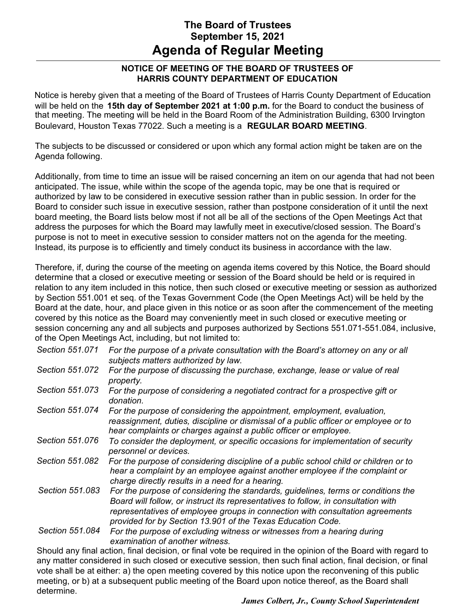# **The Board of Trustees September 15, 2021 Agenda of Regular Meeting**

#### **NOTICE OF MEETING OF THE BOARD OF TRUSTEES OF HARRIS COUNTY DEPARTMENT OF EDUCATION**

Notice is hereby given that a meeting of the Board of Trustees of Harris County Department of Education will be held on the **15th day of September 2021 at 1:00 p.m.** for the Board to conduct the business of that meeting. The meeting will be held in the Board Room of the Administration Building, 6300 Irvington Boulevard, Houston Texas 77022. Such a meeting is a **REGULAR BOARD MEETING**.

The subjects to be discussed or considered or upon which any formal action might be taken are on the Agenda following.

Additionally, from time to time an issue will be raised concerning an item on our agenda that had not been anticipated. The issue, while within the scope of the agenda topic, may be one that is required or authorized by law to be considered in executive session rather than in public session. In order for the Board to consider such issue in executive session, rather than postpone consideration of it until the next board meeting, the Board lists below most if not all be all of the sections of the Open Meetings Act that address the purposes for which the Board may lawfully meet in executive/closed session. The Board's purpose is not to meet in executive session to consider matters not on the agenda for the meeting. Instead, its purpose is to efficiently and timely conduct its business in accordance with the law.

Therefore, if, during the course of the meeting on agenda items covered by this Notice, the Board should determine that a closed or executive meeting or session of the Board should be held or is required in relation to any item included in this notice, then such closed or executive meeting or session as authorized by Section 551.001 et seq. of the Texas Government Code (the Open Meetings Act) will be held by the Board at the date, hour, and place given in this notice or as soon after the commencement of the meeting covered by this notice as the Board may conveniently meet in such closed or executive meeting or session concerning any and all subjects and purposes authorized by Sections 551.071-551.084, inclusive, of the Open Meetings Act, including, but not limited to:

| Section 551.071 | For the purpose of a private consultation with the Board's attorney on any or all<br>subjects matters authorized by law.                                                                                                                                                                                                |
|-----------------|-------------------------------------------------------------------------------------------------------------------------------------------------------------------------------------------------------------------------------------------------------------------------------------------------------------------------|
| Section 551.072 | For the purpose of discussing the purchase, exchange, lease or value of real<br>property.                                                                                                                                                                                                                               |
| Section 551,073 | For the purpose of considering a negotiated contract for a prospective gift or<br>donation.                                                                                                                                                                                                                             |
| Section 551.074 | For the purpose of considering the appointment, employment, evaluation,<br>reassignment, duties, discipline or dismissal of a public officer or employee or to<br>hear complaints or charges against a public officer or employee.                                                                                      |
| Section 551.076 | To consider the deployment, or specific occasions for implementation of security<br>personnel or devices.                                                                                                                                                                                                               |
| Section 551.082 | For the purpose of considering discipline of a public school child or children or to<br>hear a complaint by an employee against another employee if the complaint or<br>charge directly results in a need for a hearing.                                                                                                |
| Section 551.083 | For the purpose of considering the standards, guidelines, terms or conditions the<br>Board will follow, or instruct its representatives to follow, in consultation with<br>representatives of employee groups in connection with consultation agreements<br>provided for by Section 13.901 of the Texas Education Code. |
| Section 551.084 | For the purpose of excluding witness or witnesses from a hearing during<br>examination of another witness.                                                                                                                                                                                                              |
|                 | Should any final action, final decision, or final vote be required in the opinion of the Board with regard to                                                                                                                                                                                                           |

any matter considered in such closed or executive session, then such final action, final decision, or final vote shall be at either: a) the open meeting covered by this notice upon the reconvening of this public meeting, or b) at a subsequent public meeting of the Board upon notice thereof, as the Board shall determine.

*James Colbert, Jr., County School Superintendent*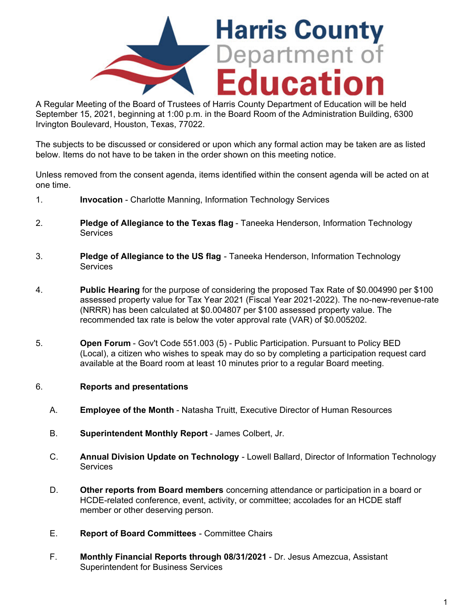

A Regular Meeting of the Board of Trustees of Harris County Department of Education will be held September 15, 2021, beginning at 1:00 p.m. in the Board Room of the Administration Building, 6300 Irvington Boulevard, Houston, Texas, 77022.

The subjects to be discussed or considered or upon which any formal action may be taken are as listed below. Items do not have to be taken in the order shown on this meeting notice.

Unless removed from the consent agenda, items identified within the consent agenda will be acted on at one time.

- 1. **Invocation** Charlotte Manning, Information Technology Services
- 2. **Pledge of Allegiance to the Texas flag** Taneeka Henderson, Information Technology **Services**
- 3. **Pledge of Allegiance to the US flag** Taneeka Henderson, Information Technology **Services**
- 4. **Public Hearing** for the purpose of considering the proposed Tax Rate of \$0.004990 per \$100 assessed property value for Tax Year 2021 (Fiscal Year 2021-2022). The no-new-revenue-rate (NRRR) has been calculated at \$0.004807 per \$100 assessed property value. The recommended tax rate is below the voter approval rate (VAR) of \$0.005202.
- 5. **Open Forum** Gov't Code 551.003 (5) Public Participation. Pursuant to Policy BED (Local), a citizen who wishes to speak may do so by completing a participation request card available at the Board room at least 10 minutes prior to a regular Board meeting.

#### 6. **Reports and presentations**

- A. **Employee of the Month**  Natasha Truitt, Executive Director of Human Resources
- B. **Superintendent Monthly Report** James Colbert, Jr.
- C. **Annual Division Update on Technology** Lowell Ballard, Director of Information Technology **Services**
- D. **Other reports from Board members** concerning attendance or participation in a board or HCDE-related conference, event, activity, or committee; accolades for an HCDE staff member or other deserving person.
- E. **Report of Board Committees** Committee Chairs
- F. **Monthly Financial Reports through 08/31/2021** Dr. Jesus Amezcua, Assistant Superintendent for Business Services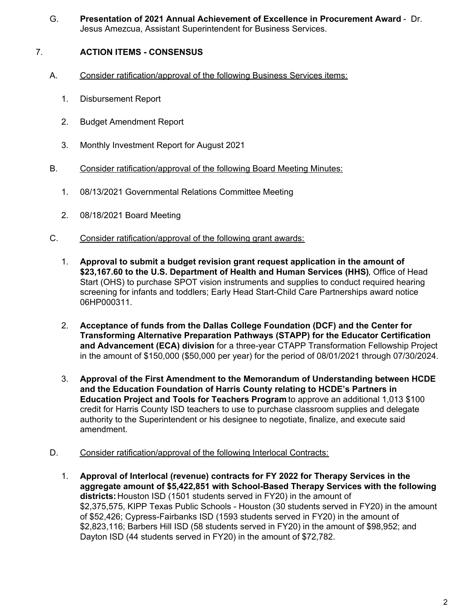G. **Presentation of 2021 Annual Achievement of Excellence in Procurement Award** - Dr. Jesus Amezcua, Assistant Superintendent for Business Services.

# 7. **ACTION ITEMS - CONSENSUS**

- A. Consider ratification/approval of the following Business Services items:
	- 1. Disbursement Report
	- 2. Budget Amendment Report
	- 3. Monthly Investment Report for August 2021
- B. Consider ratification/approval of the following Board Meeting Minutes:
	- 1. 08/13/2021 Governmental Relations Committee Meeting
	- 2. 08/18/2021 Board Meeting
- C. Consider ratification/approval of the following grant awards:
	- 1. **Approval to submit a budget revision grant request application in the amount of [\\$23,167.60](https://23,167.60) to the U.S. Department of Health and Human Services (HHS)**, Office of Head Start (OHS) to purchase SPOT vision instruments and supplies to conduct required hearing screening for infants and toddlers; Early Head Start-Child Care Partnerships award notice 06HP000311.
	- 2. **Acceptance of funds from the Dallas College Foundation (DCF) and the Center for Transforming Alternative Preparation Pathways (STAPP) for the Educator Certification and Advancement (ECA) division** for a three-year CTAPP Transformation Fellowship Project in the amount of \$150,000 (\$50,000 per year) for the period of 08/01/2021 through 07/30/2024.
	- 3. **Approval of the First Amendment to the Memorandum of Understanding between HCDE and the Education Foundation of Harris County relating to HCDE's Partners in Education Project and Tools for Teachers Program** to approve an additional 1,013 \$100 credit for Harris County ISD teachers to use to purchase classroom supplies and delegate authority to the Superintendent or his designee to negotiate, finalize, and execute said amendment.
- D. Consider ratification/approval of the following Interlocal Contracts:
	- 1. **Approval of Interlocal (revenue) contracts for FY 2022 for Therapy Services in the aggregate amount of \$5,422,851 with School-Based Therapy Services with the following districts:** Houston ISD (1501 students served in FY20) in the amount of \$2,375,575, KIPP Texas Public Schools - Houston (30 students served in FY20) in the amount of \$52,426; Cypress-Fairbanks ISD (1593 students served in FY20) in the amount of \$2,823,116; Barbers Hill ISD (58 students served in FY20) in the amount of \$98,952; and Dayton ISD (44 students served in FY20) in the amount of \$72,782.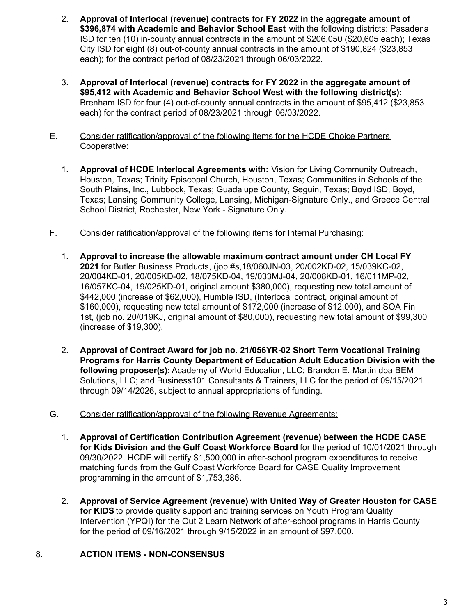- 2. **Approval of Interlocal (revenue) contracts for FY 2022 in the aggregate amount of \$396,874 with Academic and Behavior School East** with the following districts: Pasadena ISD for ten (10) in-county annual contracts in the amount of \$206,050 (\$20,605 each); Texas City ISD for eight (8) out-of-county annual contracts in the amount of \$190,824 (\$23,853 each); for the contract period of 08/23/2021 through 06/03/2022.
- 3. **Approval of Interlocal (revenue) contracts for FY 2022 in the aggregate amount of \$95,412 with Academic and Behavior School West with the following district(s):** Brenham ISD for four (4) out-of-county annual contracts in the amount of \$95,412 (\$23,853 each) for the contract period of 08/23/2021 through 06/03/2022.
- E. Consider ratification/approval of the following items for the HCDE Choice Partners Cooperative:
	- 1. **Approval of HCDE Interlocal Agreements with:** Vision for Living Community Outreach, Houston, Texas; Trinity Episcopal Church, Houston, Texas; Communities in Schools of the South Plains, Inc., Lubbock, Texas; Guadalupe County, Seguin, Texas; Boyd ISD, Boyd, Texas; Lansing Community College, Lansing, Michigan-Signature Only., and Greece Central School District, Rochester, New York - Signature Only.
- F. Consider ratification/approval of the following items for Internal Purchasing:
	- 1. **Approval to increase the allowable maximum contract amount under CH Local FY 2021** for Butler Business Products, (job #s,18/060JN-03, 20/002KD-02, 15/039KC-02, 20/004KD-01, 20/005KD-02, 18/075KD-04, 19/033MJ-04, 20/008KD-01, 16/011MP-02, 16/057KC-04, 19/025KD-01, original amount \$380,000), requesting new total amount of \$442,000 (increase of \$62,000), Humble ISD, (Interlocal contract, original amount of \$160,000), requesting new total amount of \$172,000 (increase of \$12,000), and SOA Fin 1st, (job no. 20/019KJ, original amount of \$80,000), requesting new total amount of \$99,300 (increase of \$19,300).
	- 2. **Approval of Contract Award for job no. 21/056YR-02 Short Term Vocational Training Programs for Harris County Department of Education Adult Education Division with the following proposer(s):** Academy of World Education, LLC; Brandon E. Martin dba BEM Solutions, LLC; and Business101 Consultants & Trainers, LLC for the period of 09/15/2021 through 09/14/2026, subject to annual appropriations of funding.
- G. Consider ratification/approval of the following Revenue Agreements:
	- 1. **Approval of Certification Contribution Agreement (revenue) between the HCDE CASE for Kids Division and the Gulf Coast Workforce Board** for the period of 10/01/2021 through 09/30/2022. HCDE will certify \$1,500,000 in after-school program expenditures to receive matching funds from the Gulf Coast Workforce Board for CASE Quality Improvement programming in the amount of \$1,753,386.
	- 2. **Approval of Service Agreement (revenue) with United Way of Greater Houston for CASE for KIDS** to provide quality support and training services on Youth Program Quality Intervention (YPQI) for the Out 2 Learn Network of after-school programs in Harris County for the period of 09/16/2021 through 9/15/2022 in an amount of \$97,000.

## 8. **ACTION ITEMS - NON-CONSENSUS**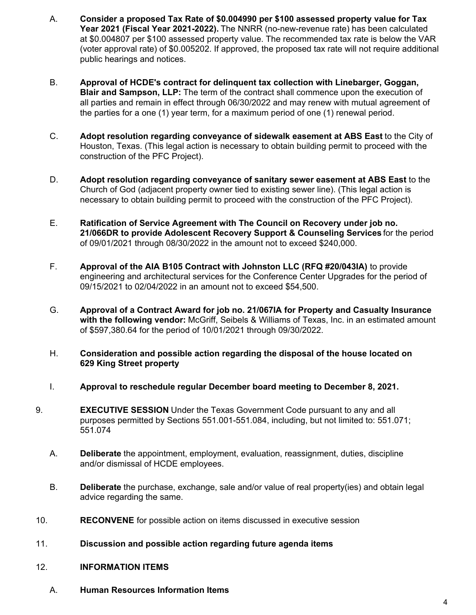- A. **Consider a proposed Tax Rate of \$0.004990 per \$100 assessed property value for Tax Year 2021 (Fiscal Year 2021-2022).** The NNRR (no-new-revenue rate) has been calculated at \$0.004807 per \$100 assessed property value. The recommended tax rate is below the VAR (voter approval rate) of \$0.005202. If approved, the proposed tax rate will not require additional public hearings and notices.
- B. **Approval of HCDE's contract for delinquent tax collection with Linebarger, Goggan, Blair and Sampson, LLP:** The term of the contract shall commence upon the execution of all parties and remain in effect through 06/30/2022 and may renew with mutual agreement of the parties for a one (1) year term, for a maximum period of one (1) renewal period.
- C. **Adopt resolution regarding conveyance of sidewalk easement at ABS East** to the City of Houston, Texas. (This legal action is necessary to obtain building permit to proceed with the construction of the PFC Project).
- D. **Adopt resolution regarding conveyance of sanitary sewer easement at ABS East** to the Church of God (adjacent property owner tied to existing sewer line). (This legal action is necessary to obtain building permit to proceed with the construction of the PFC Project).
- E. **Ratification of Service Agreement with The Council on Recovery under job no. 21/066DR to provide Adolescent Recovery Support & Counseling Services** for the period of 09/01/2021 through 08/30/2022 in the amount not to exceed \$240,000.
- F. **Approval of the AIA B105 Contract with Johnston LLC (RFQ #20/043IA)** to provide engineering and architectural services for the Conference Center Upgrades for the period of 09/15/2021 to 02/04/2022 in an amount not to exceed \$54,500.
- G. **Approval of a Contract Award for job no. 21/067IA for Property and Casualty Insurance with the following vendor:** McGriff, Seibels & Williams of Texas, Inc. in an estimated amount of [\\$597,380.64](https://597,380.64) for the period of 10/01/2021 through 09/30/2022.
- H. **Consideration and possible action regarding the disposal of the house located on 629 King Street property**
- I. **Approval to reschedule regular December board meeting to December 8, 2021.**
- 9. **EXECUTIVE SESSION** Under the Texas Government Code pursuant to any and all purposes permitted by Sections 551.001-551.084, including, but not limited to: 551.071; 551.074
	- A. **Deliberate** the appointment, employment, evaluation, reassignment, duties, discipline and/or dismissal of HCDE employees.
	- B. **Deliberate** the purchase, exchange, sale and/or value of real property(ies) and obtain legal advice regarding the same.
- 10. **RECONVENE** for possible action on items discussed in executive session
- 11. **Discussion and possible action regarding future agenda items**
- 12. **INFORMATION ITEMS**
	- A. **Human Resources Information Items**